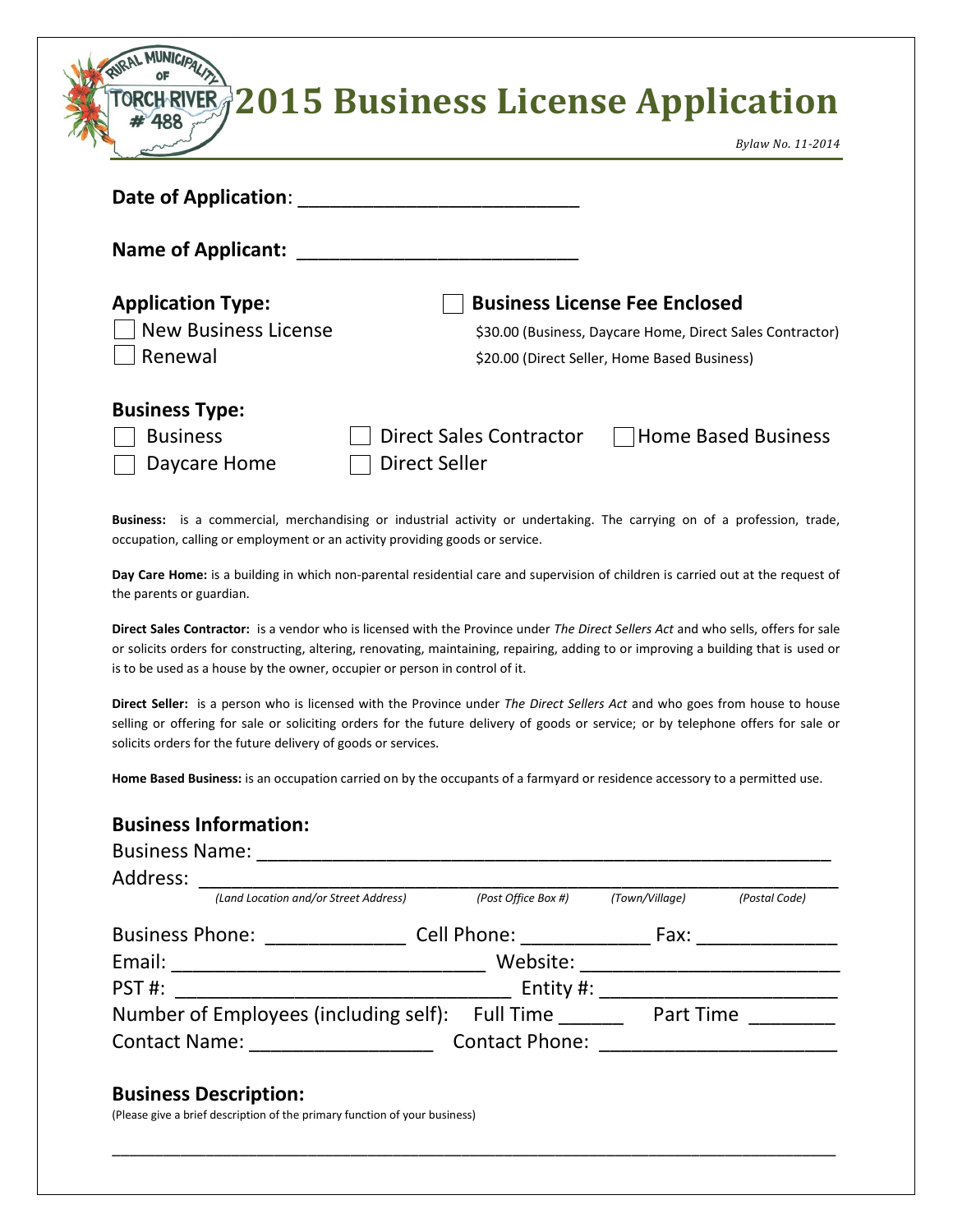|                             | TORCHRIVER 2015 Business License Application |
|-----------------------------|----------------------------------------------|
|                             | Bylaw No. 11-2014                            |
| <b>Date of Application:</b> |                                              |

| <b>Name of Applicant:</b> |                                                           |
|---------------------------|-----------------------------------------------------------|
| <b>Application Type:</b>  | <b>Business License Fee Enclosed</b>                      |
| New Business License      | \$30.00 (Business, Daycare Home, Direct Sales Contractor) |
| Renewal                   | \$20.00 (Direct Seller, Home Based Business)              |
| <b>Business Type:</b>     |                                                           |
| <b>Business</b>           | □ Home Based Business<br><b>Direct Sales Contractor</b>   |
| Daycare Home              | <b>Direct Seller</b>                                      |

**Business:** is a commercial, merchandising or industrial activity or undertaking. The carrying on of a profession, trade, occupation, calling or employment or an activity providing goods or service.

**Day Care Home:** is a building in which non-parental residential care and supervision of children is carried out at the request of the parents or guardian.

**Direct Sales Contractor:** is a vendor who is licensed with the Province under *The Direct Sellers Act* and who sells, offers for sale or solicits orders for constructing, altering, renovating, maintaining, repairing, adding to or improving a building that is used or is to be used as a house by the owner, occupier or person in control of it.

**Direct Seller:** is a person who is licensed with the Province under *The Direct Sellers Act* and who goes from house to house selling or offering for sale or soliciting orders for the future delivery of goods or service; or by telephone offers for sale or solicits orders for the future delivery of goods or services.

**Home Based Business:** is an occupation carried on by the occupants of a farmyard or residence accessory to a permitted use.

## **Business Information:**

| <b>Business Name:</b>                 |                                                                                                                |                |               |
|---------------------------------------|----------------------------------------------------------------------------------------------------------------|----------------|---------------|
| Address:                              |                                                                                                                |                |               |
| (Land Location and/or Street Address) | (Post Office Box #)                                                                                            | (Town/Village) | (Postal Code) |
| <b>Business Phone:</b>                | Cell Phone: The Collection of the Collection of the Collection of the Collection of the Collection of the Coll | Fax:           |               |
| Email:                                | Website:                                                                                                       |                |               |
| PST#:                                 | Entity $#$ :                                                                                                   |                |               |
| Number of Employees (including self): | Full Time                                                                                                      | Part Time      |               |
| <b>Contact Name:</b>                  | <b>Contact Phone:</b>                                                                                          |                |               |

\_\_\_\_\_\_\_\_\_\_\_\_\_\_\_\_\_\_\_\_\_\_\_\_\_\_\_\_\_\_\_\_\_\_\_\_\_\_\_\_\_\_\_\_\_\_\_\_\_\_\_\_\_\_\_\_\_\_\_\_\_\_\_\_\_\_\_\_\_\_\_\_\_\_\_\_\_\_\_\_\_\_\_\_\_

## **Business Description:**

(Please give a brief description of the primary function of your business)